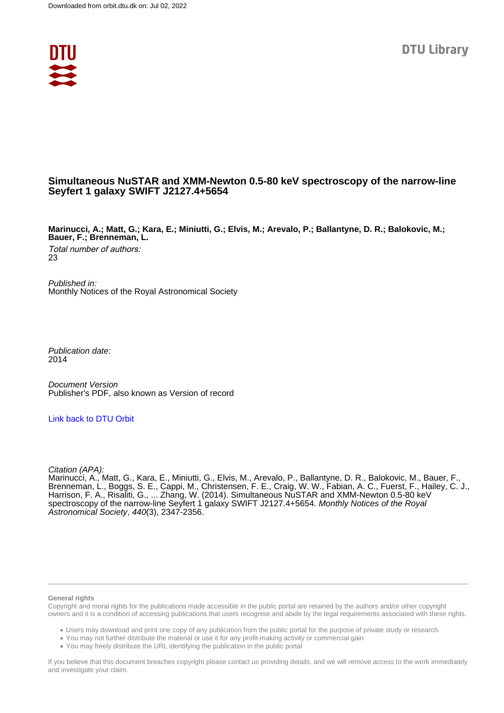

## **Simultaneous NuSTAR and XMM-Newton 0.5-80 keV spectroscopy of the narrow-line Seyfert 1 galaxy SWIFT J2127.4+5654**

**Marinucci, A.; Matt, G.; Kara, E.; Miniutti, G.; Elvis, M.; Arevalo, P.; Ballantyne, D. R.; Balokovic, M.; Bauer, F.; Brenneman, L.**

Total number of authors: 23

Published in: Monthly Notices of the Royal Astronomical Society

Publication date: 2014

Document Version Publisher's PDF, also known as Version of record

[Link back to DTU Orbit](https://orbit.dtu.dk/en/publications/d68025fe-103c-489b-84ab-c2c603a496ca)

Citation (APA):

Marinucci, A., Matt, G., Kara, E., Miniutti, G., Elvis, M., Arevalo, P., Ballantyne, D. R., Balokovic, M., Bauer, F., Brenneman, L., Boggs, S. E., Cappi, M., Christensen, F. E., Craig, W. W., Fabian, A. C., Fuerst, F., Hailey, C. J., Harrison, F. A., Risaliti, G., ... Zhang, W. (2014). Simultaneous NuSTAR and XMM-Newton 0.5-80 keV spectroscopy of the narrow-line Seyfert 1 galaxy SWIFT J2127.4+5654. Monthly Notices of the Royal Astronomical Society, 440(3), 2347-2356.

#### **General rights**

Copyright and moral rights for the publications made accessible in the public portal are retained by the authors and/or other copyright owners and it is a condition of accessing publications that users recognise and abide by the legal requirements associated with these rights.

Users may download and print one copy of any publication from the public portal for the purpose of private study or research.

- You may not further distribute the material or use it for any profit-making activity or commercial gain
- You may freely distribute the URL identifying the publication in the public portal

If you believe that this document breaches copyright please contact us providing details, and we will remove access to the work immediately and investigate your claim.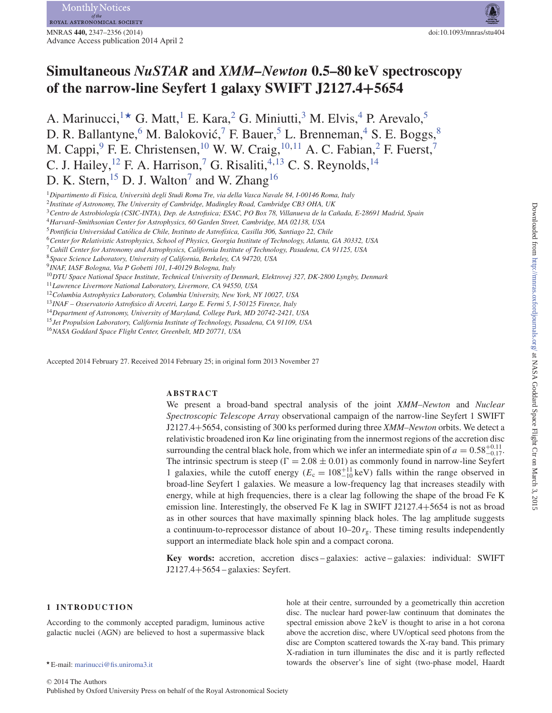# **Simultaneous** *NuSTAR* **and** *XMM–Newton* **0.5–80 keV spectroscopy of the narrow-line Seyfert 1 galaxy SWIFT J2127.4+5654**

A. Marinucci,  $1\star$  G. Matt, <sup>1</sup> E. Kara, <sup>2</sup> G. Miniutti, <sup>3</sup> M. Elvis, <sup>4</sup> P. Arevalo, <sup>5</sup> D. R. Ballantyne,<sup>6</sup> M. Baloković,<sup>7</sup> F. Bauer,<sup>5</sup> L. Brenneman,<sup>4</sup> S. E. Boggs,<sup>8</sup> M. Cappi,  ${}^{9}$  F. E. Christensen,  ${}^{10}$  W. W. Craig,  ${}^{10,11}$  A. C. Fabian,  ${}^{2}$  F. Fuerst,  ${}^{7}$ C. J. Hailey, <sup>12</sup> F. A. Harrison, <sup>7</sup> G. Risaliti, <sup>4, 13</sup> C. S. Reynolds, <sup>14</sup> D. K. Stern, <sup>15</sup> D. J. Walton<sup>7</sup> and W. Zhang<sup>16</sup>

<sup>13</sup>*INAF – Osservatorio Astrofisico di Arcetri, Largo E. Fermi 5, I-50125 Firenze, Italy*

<sup>15</sup>*Jet Propulsion Laboratory, California Institute of Technology, Pasadena, CA 91109, USA*

<sup>16</sup>*NASA Goddard Space Flight Center, Greenbelt, MD 20771, USA*

Accepted 2014 February 27. Received 2014 February 25; in original form 2013 November 27

## **ABSTRACT**

We present a broad-band spectral analysis of the joint *XMM–Newton* and *Nuclear Spectroscopic Telescope Array* observational campaign of the narrow-line Seyfert 1 SWIFT J2127.4+5654, consisting of 300 ks performed during three *XMM–Newton* orbits. We detect a relativistic broadened iron  $K\alpha$  line originating from the innermost regions of the accretion disc surrounding the central black hole, from which we infer an intermediate spin of  $a = 0.58^{+0.11}_{-0.17}$ . The intrinsic spectrum is steep ( $\Gamma = 2.08 \pm 0.01$ ) as commonly found in narrow-line Seyfert 1 galaxies, while the cutoff energy  $(E_c = 108^{+11}_{-10} \text{ keV})$  falls within the range observed in broad-line Seyfert 1 galaxies. We measure a low-frequency lag that increases steadily with energy, while at high frequencies, there is a clear lag following the shape of the broad Fe K emission line. Interestingly, the observed Fe K lag in SWIFT J2127.4+5654 is not as broad as in other sources that have maximally spinning black holes. The lag amplitude suggests a continuum-to-reprocessor distance of about  $10-20 r<sub>g</sub>$ . These timing results independently support an intermediate black hole spin and a compact corona.

**Key words:** accretion, accretion discs – galaxies: active – galaxies: individual: SWIFT J2127.4+5654 – galaxies: Seyfert.

> hole at their centre, surrounded by a geometrically thin accretion disc. The nuclear hard power-law continuum that dominates the spectral emission above 2 keV is thought to arise in a hot corona above the accretion disc, where UV/optical seed photons from the

## **1 INTRODUCTION**

According to the commonly accepted paradigm, luminous active galactic nuclei (AGN) are believed to host a supermassive black

<sup>1</sup>*Dipartimento di Fisica, Universita degli Studi Roma Tre, via della Vasca Navale 84, I-00146 Roma, Italy `*

<sup>2</sup>*Institute of Astronomy, The University of Cambridge, Madingley Road, Cambridge CB3 OHA, UK*

<sup>3</sup>*Centro de Astrobiolog´ıa (CSIC-INTA), Dep. de Astrofisica; ESAC, PO Box 78, Villanueva de la Canada, E-28691 Madrid, Spain ˜*

<sup>4</sup>*Harvard–Smithsonian Center for Astrophysics, 60 Garden Street, Cambridge, MA 02138, USA*

<sup>5</sup>*Pontificia Universidad Catolica de Chile, Instituto de Astrof ´ ´ısica, Casilla 306, Santiago 22, Chile*

<sup>6</sup>*Center for Relativistic Astrophysics, School of Physics, Georgia Institute of Technology, Atlanta, GA 30332, USA*

<sup>7</sup>*Cahill Center for Astronomy and Astrophysics, California Institute of Technology, Pasadena, CA 91125, USA*

<sup>8</sup>*Space Science Laboratory, University of California, Berkeley, CA 94720, USA* <sup>9</sup>*INAF, IASF Bologna, Via P Gobetti 101, I-40129 Bologna, Italy*

<sup>10</sup>*DTU Space National Space Institute, Technical University of Denmark, Elektrovej 327, DK-2800 Lyngby, Denmark*

<sup>11</sup>*Lawrence Livermore National Laboratory, Livermore, CA 94550, USA*

<sup>12</sup>*Columbia Astrophysics Laboratory, Columbia University, New York, NY 10027, USA*

<sup>14</sup>*Department of Astronomy, University of Maryland, College Park, MD 20742-2421, USA*

E-mail: marinucci@fis.uniroma3.it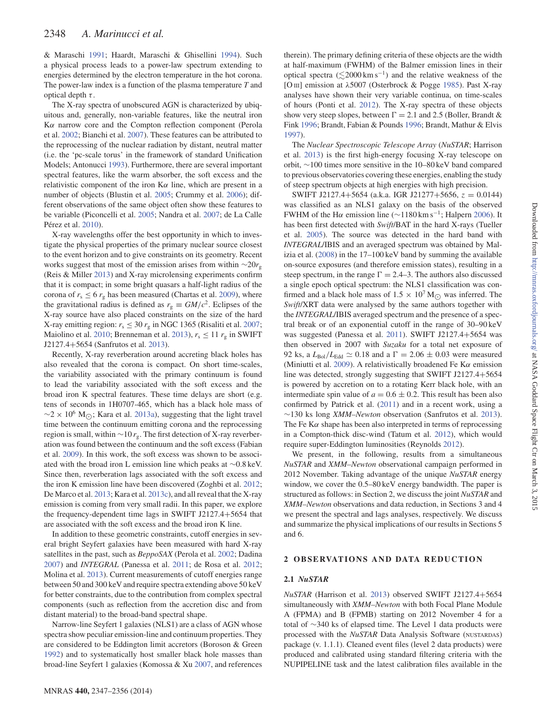& Maraschi 1991; Haardt, Maraschi & Ghisellini 1994). Such a physical process leads to a power-law spectrum extending to energies determined by the electron temperature in the hot corona. The power-law index is a function of the plasma temperature *T* and optical depth  $\tau$ .

The X-ray spectra of unobscured AGN is characterized by ubiquitous and, generally, non-variable features, like the neutral iron Kα narrow core and the Compton reflection component (Perola et al. 2002; Bianchi et al. 2007). These features can be attributed to the reprocessing of the nuclear radiation by distant, neutral matter (i.e. the 'pc-scale torus' in the framework of standard Unification Models; Antonucci 1993). Furthermore, there are several important spectral features, like the warm absorber, the soft excess and the relativistic component of the iron  $K\alpha$  line, which are present in a number of objects (Blustin et al. 2005; Crummy et al. 2006); different observations of the same object often show these features to be variable (Piconcelli et al. 2005; Nandra et al. 2007; de La Calle Pérez et al. 2010).

X-ray wavelengths offer the best opportunity in which to investigate the physical properties of the primary nuclear source closest to the event horizon and to give constraints on its geometry. Recent works suggest that most of the emission arises from within ∼20*r*<sub>g</sub> (Reis & Miller 2013) and X-ray microlensing experiments confirm that it is compact; in some bright quasars a half-light radius of the corona of  $r_s \leq 6 r_g$  has been measured (Chartas et al. 2009), where the gravitational radius is defined as  $r_g \equiv GM/c^2$ . Eclipses of the X-ray source have also placed constraints on the size of the hard X-ray emitting region:  $r_s \leq 30 r_g$  in NGC 1365 (Risaliti et al. 2007; Maiolino et al. 2010; Brenneman et al. 2013),  $r_s \le 11 r_g$  in SWIFT J2127.4+5654 (Sanfrutos et al. 2013).

Recently, X-ray reverberation around accreting black holes has also revealed that the corona is compact. On short time-scales, the variability associated with the primary continuum is found to lead the variability associated with the soft excess and the broad iron K spectral features. These time delays are short (e.g. tens of seconds in 1H0707-465, which has a black hole mass of  $\sim$ 2 × 10<sup>6</sup> M<sub>O</sub>; Kara et al. 2013a), suggesting that the light travel time between the continuum emitting corona and the reprocessing region is small, within ∼10 *r*g. The first detection of X-ray reverberation was found between the continuum and the soft excess (Fabian et al. 2009). In this work, the soft excess was shown to be associated with the broad iron L emission line which peaks at ∼0.8 keV. Since then, reverberation lags associated with the soft excess and the iron K emission line have been discovered (Zoghbi et al. 2012; De Marco et al. 2013; Kara et al. 2013c), and all reveal that the X-ray emission is coming from very small radii. In this paper, we explore the frequency-dependent time lags in SWIFT J2127.4+5654 that are associated with the soft excess and the broad iron K line.

In addition to these geometric constraints, cutoff energies in several bright Seyfert galaxies have been measured with hard X-ray satellites in the past, such as *BeppoSAX* (Perola et al. 2002; Dadina 2007) and *INTEGRAL* (Panessa et al. 2011; de Rosa et al. 2012; Molina et al. 2013). Current measurements of cutoff energies range between 50 and 300 keV and require spectra extending above 50 keV for better constraints, due to the contribution from complex spectral components (such as reflection from the accretion disc and from distant material) to the broad-band spectral shape.

Narrow-line Seyfert 1 galaxies (NLS1) are a class of AGN whose spectra show peculiar emission-line and continuum properties. They are considered to be Eddington limit accretors (Boroson & Green 1992) and to systematically host smaller black hole masses than broad-line Seyfert 1 galaxies (Komossa & Xu 2007, and references

The *Nuclear Spectroscopic Telescope Array* (*NuSTAR*; Harrison et al. 2013) is the first high-energy focusing X-ray telescope on orbit, ∼100 times more sensitive in the 10–80 keV band compared to previous observatories covering these energies, enabling the study of steep spectrum objects at high energies with high precision.

SWIFT J2127.4+5654 (a.k.a. IGR J21277+5656,  $z = 0.0144$ ) was classified as an NLS1 galaxy on the basis of the observed FWHM of the Hα emission line ( $\sim$ 1180 km s<sup>-1</sup>; Halpern 2006). It has been first detected with *Swift*/BAT in the hard X-rays (Tueller et al. 2005). The source was detected in the hard band with *INTEGRAL*/IBIS and an averaged spectrum was obtained by Malizia et al. (2008) in the 17–100 keV band by summing the available on-source exposures (and therefore emission states), resulting in a steep spectrum, in the range  $\Gamma = 2.4-3$ . The authors also discussed a single epoch optical spectrum: the NLS1 classification was confirmed and a black hole mass of  $1.5 \times 10^7$  M<sub>( $\odot$ </sub> was inferred. The *Swift*/XRT data were analysed by the same authors together with the *INTEGRAL*/IBIS averaged spectrum and the presence of a spectral break or of an exponential cutoff in the range of 30–90 keV was suggested (Panessa et al. 2011). SWIFT J2127.4+5654 was then observed in 2007 with *Suzaku* for a total net exposure of 92 ks, a  $L_{\text{Bol}}/L_{\text{Edd}} \simeq 0.18$  and a  $\Gamma = 2.06 \pm 0.03$  were measured (Miniutti et al. 2009). A relativistically broadened Fe K $\alpha$  emission line was detected, strongly suggesting that SWIFT J2127.4+5654 is powered by accretion on to a rotating Kerr black hole, with an intermediate spin value of  $a = 0.6 \pm 0.2$ . This result has been also confirmed by Patrick et al. (2011) and in a recent work, using a ∼130 ks long *XMM–Newton* observation (Sanfrutos et al. 2013). The Fe K $\alpha$  shape has been also interpreted in terms of reprocessing in a Compton-thick disc-wind (Tatum et al. 2012), which would require super-Eddington luminosities (Reynolds 2012).

We present, in the following, results from a simultaneous *NuSTAR* and *XMM–Newton* observational campaign performed in 2012 November. Taking advantage of the unique *NuSTAR* energy window, we cover the 0.5–80 keV energy bandwidth. The paper is structured as follows: in Section 2, we discuss the joint *NuSTAR* and *XMM–Newton* observations and data reduction, in Sections 3 and 4 we present the spectral and lags analyses, respectively. We discuss and summarize the physical implications of our results in Sections 5 and 6.

## **2 OBSERVATIONS AND DATA REDUCTION**

## **2.1** *NuSTAR*

*NuSTAR* (Harrison et al. 2013) observed SWIFT J2127.4+5654 simultaneously with *XMM–Newton* with both Focal Plane Module A (FPMA) and B (FPMB) starting on 2012 November 4 for a total of ∼340 ks of elapsed time. The Level 1 data products were processed with the *NuSTAR* Data Analysis Software (NUSTARDAS) package (v. 1.1.1). Cleaned event files (level 2 data products) were produced and calibrated using standard filtering criteria with the NUPIPELINE task and the latest calibration files available in the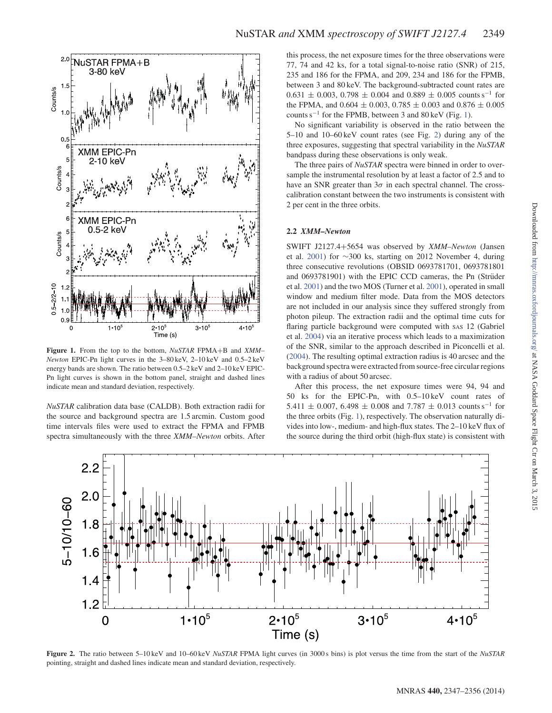

**Figure 1.** From the top to the bottom, *NuSTAR* FPMA+B and *XMM– Newton* EPIC-Pn light curves in the 3–80 keV, 2–10 keV and 0.5–2 keV energy bands are shown. The ratio between 0.5–2 keV and 2–10 keV EPIC-Pn light curves is shown in the bottom panel, straight and dashed lines indicate mean and standard deviation, respectively.

*NuSTAR* calibration data base (CALDB). Both extraction radii for the source and background spectra are 1.5 arcmin. Custom good time intervals files were used to extract the FPMA and FPMB spectra simultaneously with the three *XMM–Newton* orbits. After this process, the net exposure times for the three observations were 77, 74 and 42 ks, for a total signal-to-noise ratio (SNR) of 215, 235 and 186 for the FPMA, and 209, 234 and 186 for the FPMB, between 3 and 80 keV. The background-subtracted count rates are  $0.631 \pm 0.003$ ,  $0.798 \pm 0.004$  and  $0.889 \pm 0.005$  counts s<sup>-1</sup> for the FPMA, and  $0.604 \pm 0.003$ ,  $0.785 \pm 0.003$  and  $0.876 \pm 0.005$ counts s−<sup>1</sup> for the FPMB, between 3 and 80 keV (Fig. 1).

No significant variability is observed in the ratio between the 5–10 and 10–60 keV count rates (see Fig. 2) during any of the three exposures, suggesting that spectral variability in the *NuSTAR* bandpass during these observations is only weak.

The three pairs of *NuSTAR* spectra were binned in order to oversample the instrumental resolution by at least a factor of 2.5 and to have an SNR greater than  $3\sigma$  in each spectral channel. The crosscalibration constant between the two instruments is consistent with 2 per cent in the three orbits.

## **2.2** *XMM–Newton*

SWIFT J2127.4+5654 was observed by *XMM–Newton* (Jansen et al. 2001) for ∼300 ks, starting on 2012 November 4, during three consecutive revolutions (OBSID 0693781701, 0693781801 and 0693781901) with the EPIC CCD cameras, the Pn (Strüder et al. 2001) and the two MOS (Turner et al. 2001), operated in small window and medium filter mode. Data from the MOS detectors are not included in our analysis since they suffered strongly from photon pileup. The extraction radii and the optimal time cuts for flaring particle background were computed with SAS 12 (Gabriel et al. 2004) via an iterative process which leads to a maximization of the SNR, similar to the approach described in Piconcelli et al. (2004). The resulting optimal extraction radius is 40 arcsec and the background spectra were extracted from source-free circular regions with a radius of about 50 arcsec.

After this process, the net exposure times were 94, 94 and 50 ks for the EPIC-Pn, with 0.5–10 keV count rates of 5.411  $\pm$  0.007, 6.498  $\pm$  0.008 and 7.787  $\pm$  0.013 counts s<sup>-1</sup> for the three orbits (Fig. 1), respectively. The observation naturally divides into low-, medium- and high-flux states. The 2–10 keV flux of the source during the third orbit (high-flux state) is consistent with



**Figure 2.** The ratio between 5–10 keV and 10–60 keV *NuSTAR* FPMA light curves (in 3000 s bins) is plot versus the time from the start of the *NuSTAR* pointing, straight and dashed lines indicate mean and standard deviation, respectively.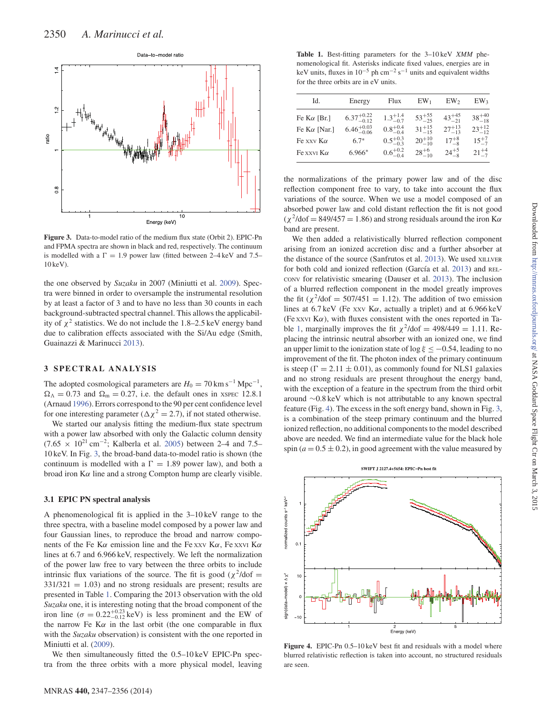

**Figure 3.** Data-to-model ratio of the medium flux state (Orbit 2). EPIC-Pn and FPMA spectra are shown in black and red, respectively. The continuum is modelled with a  $\Gamma = 1.9$  power law (fitted between 2–4 keV and 7.5– 10 keV).

the one observed by *Suzaku* in 2007 (Miniutti et al. 2009). Spectra were binned in order to oversample the instrumental resolution by at least a factor of 3 and to have no less than 30 counts in each background-subtracted spectral channel. This allows the applicability of  $\chi^2$  statistics. We do not include the 1.8–2.5 keV energy band due to calibration effects associated with the Si/Au edge (Smith, Guainazzi & Marinucci 2013).

## **3 SPECTRAL ANALYSIS**

The adopted cosmological parameters are  $H_0 = 70 \text{ km s}^{-1} \text{ Mpc}^{-1}$ ,  $\Omega_{\Lambda} = 0.73$  and  $\Omega_{\rm m} = 0.27$ , i.e. the default ones in XSPEC 12.8.1 (Arnaud 1996). Errors correspond to the 90 per cent confidence level for one interesting parameter ( $\Delta \chi^2 = 2.7$ ), if not stated otherwise.

We started our analysis fitting the medium-flux state spectrum with a power law absorbed with only the Galactic column density (7.65  $\times$  10<sup>21</sup> cm<sup>-2</sup>; Kalberla et al. 2005) between 2–4 and 7.5– 10 keV. In Fig. 3, the broad-band data-to-model ratio is shown (the continuum is modelled with a  $\Gamma = 1.89$  power law), and both a broad iron  $K\alpha$  line and a strong Compton hump are clearly visible.

## **3.1 EPIC PN spectral analysis**

A phenomenological fit is applied in the 3–10 keV range to the three spectra, with a baseline model composed by a power law and four Gaussian lines, to reproduce the broad and narrow components of the Fe K $\alpha$  emission line and the Fe xxv K $\alpha$ , Fe xxv K $\alpha$ lines at 6.7 and 6.966 keV, respectively. We left the normalization of the power law free to vary between the three orbits to include intrinsic flux variations of the source. The fit is good ( $\chi^2$ /dof =  $331/321 = 1.03$ ) and no strong residuals are present; results are presented in Table 1. Comparing the 2013 observation with the old *Suzaku* one, it is interesting noting that the broad component of the iron line ( $\sigma = 0.22^{+0.23}_{-0.12}$  keV) is less prominent and the EW of the narrow Fe K $\alpha$  in the last orbit (the one comparable in flux with the *Suzaku* observation) is consistent with the one reported in Miniutti et al. (2009).

We then simultaneously fitted the 0.5–10 keV EPIC-Pn spectra from the three orbits with a more physical model, leaving

**Table 1.** Best-fitting parameters for the 3–10 keV *XMM* phenomenological fit. Asterisks indicate fixed values, energies are in keV units, fluxes in  $10^{-5}$  ph cm<sup>-2</sup> s<sup>-1</sup> units and equivalent widths for the three orbits are in eV units.

| Id.                 | Energy                 | Flux                | $EW_1$           | EW <sub>2</sub>  | EW <sub>3</sub>  |
|---------------------|------------------------|---------------------|------------------|------------------|------------------|
| Fe K $\alpha$ [Br.] | $6.37^{+0.22}_{-0.12}$ | $1.3^{+1.4}_{-0.7}$ | $53^{+55}_{-25}$ | $43^{+45}_{-21}$ | $38^{+40}_{-18}$ |
| Fe $K\alpha$ [Nar.] | $6.46^{+0.03}_{-0.06}$ | $0.8^{+0.4}_{-0.4}$ | $31^{+15}_{-15}$ | $27^{+13}_{-13}$ | $23^{+12}_{-12}$ |
| Fe xxv $K\alpha$    | $6.7*$                 | $0.5^{+0.3}_{-0.3}$ | $20^{+10}_{-10}$ | $17^{+8}_{-8}$   | $15^{+7}_{-7}$   |
| Fe xxvi $K\alpha$   | $6.966*$               | $0.6^{+0.2}_{-0.4}$ | $28^{+6}_{-10}$  | $24^{+5}_{-8}$   | $21^{+4}$        |

the normalizations of the primary power law and of the disc reflection component free to vary, to take into account the flux variations of the source. When we use a model composed of an absorbed power law and cold distant reflection the fit is not good  $(\chi^2/\text{dof} = 849/457 = 1.86)$  and strong residuals around the iron K $\alpha$ band are present.

We then added a relativistically blurred reflection component arising from an ionized accretion disc and a further absorber at the distance of the source (Sanfrutos et al. 2013). We used XILLVER for both cold and ionized reflection (García et al. 2013) and REL-CONV for relativistic smearing (Dauser et al. 2013). The inclusion of a blurred reflection component in the model greatly improves the fit ( $\chi^2$ /dof = 507/451 = 1.12). The addition of two emission lines at  $6.7 \text{ keV}$  (Fe xxv K $\alpha$ , actually a triplet) and at  $6.966 \text{ keV}$ (Fe xxvi K $\alpha$ ), with fluxes consistent with the ones reported in Table 1, marginally improves the fit  $\chi^2$ /dof = 498/449 = 1.11. Replacing the intrinsic neutral absorber with an ionized one, we find an upper limit to the ionization state of  $\log \xi \leq -0.54$ , leading to no improvement of the fit. The photon index of the primary continuum is steep ( $\Gamma = 2.11 \pm 0.01$ ), as commonly found for NLS1 galaxies and no strong residuals are present throughout the energy band, with the exception of a feature in the spectrum from the third orbit around ∼0.8 keV which is not attributable to any known spectral feature (Fig. 4). The excess in the soft energy band, shown in Fig. 3, is a combination of the steep primary continuum and the blurred ionized reflection, no additional components to the model described above are needed. We find an intermediate value for the black hole spin  $(a = 0.5 \pm 0.2)$ , in good agreement with the value measured by



**Figure 4.** EPIC-Pn 0.5–10 keV best fit and residuals with a model where blurred relativistic reflection is taken into account, no structured residuals are seen.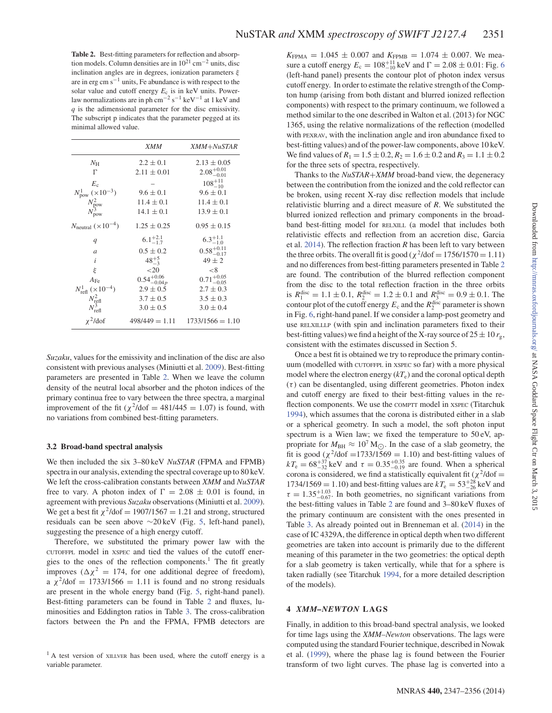**Table 2.** Best-fitting parameters for reflection and absorption models. Column densities are in  $10^{21}$  cm<sup>-2</sup> units, disc inclination angles are in degrees, ionization parameters  $\xi$ are in  $erg \, cm \, s^{-1}$  units, Fe abundance is with respect to the solar value and cutoff energy *E*<sup>c</sup> is in keV units. Powerlaw normalizations are in ph cm<sup>-2</sup> s<sup>-1</sup> keV<sup>-1</sup> at 1 keV and *q* is the adimensional parameter for the disc emissivity. The subscript p indicates that the parameter pegged at its minimal allowed value.

|                                                                                                              | <i>XMM</i>              | XMM+NuSTAR                          |
|--------------------------------------------------------------------------------------------------------------|-------------------------|-------------------------------------|
| $N_{\rm H}$                                                                                                  | $2.2 \pm 0.1$           | $2.13 \pm 0.05$                     |
| $\Gamma$                                                                                                     | $2.11 \pm 0.01$         | $2.08^{+0.01}_{-0.01}$              |
|                                                                                                              |                         | $108^{+11}_{-10}$                   |
|                                                                                                              | $9.6 \pm 0.1$           | $9.6 \pm 0.1$                       |
|                                                                                                              | $11.4 \pm 0.1$          | $11.4 \pm 0.1$                      |
| $\begin{array}{c} E_{\rm c} \\ N_{\rm pow}^1~(\times 10^{-3}) \\ N_{\rm pow}^2 \\ N_{\rm pow}^3 \end{array}$ | $14.1 \pm 0.1$          | $13.9 \pm 0.1$                      |
| $N_{\text{neutral}} (\times 10^{-4})$                                                                        | $1.25 \pm 0.25$         | $0.95 \pm 0.15$                     |
| q                                                                                                            | $6.1^{+2.1}_{-1.7}$     | $6.3^{+1.1}_{-1.0}$                 |
| $\overline{a}$                                                                                               | $0.5 \pm 0.2$           | $0.58^{+0.11}_{-0.17}$              |
| i                                                                                                            | $48^{+5}_{-3}$          | $49 \pm 2$                          |
| ξ                                                                                                            | ${20}$                  | $<$ 8                               |
| $A_{\rm Fe}$                                                                                                 | $0.54^{+0.06}_{-0.04p}$ | $0.71^{+0.05}_{-0.05}$              |
| $N_{\text{refl}}^1$ ( $\times 10^{-4}$ )                                                                     | $2.9 \pm 0.5$           | $2.7 \pm 0.3$                       |
|                                                                                                              | $3.7 \pm 0.5$           | $3.5 \pm 0.3$                       |
| $\frac{N_{\text{refl}}^2}{N_{\text{refl}}^3}$                                                                | $3.0 \pm 0.5$           | $3.0 \pm 0.4$                       |
| $\chi^2$ /dof                                                                                                |                         | $498/449 = 1.11$ $1733/1566 = 1.10$ |

*Suzaku*, values for the emissivity and inclination of the disc are also consistent with previous analyses (Miniutti et al. 2009). Best-fitting parameters are presented in Table 2. When we leave the column density of the neutral local absorber and the photon indices of the primary continua free to vary between the three spectra, a marginal improvement of the fit ( $\chi^2$ /dof = 481/445 = 1.07) is found, with no variations from combined best-fitting parameters.

#### **3.2 Broad-band spectral analysis**

We then included the six 3–80 keV *NuSTAR* (FPMA and FPMB) spectra in our analysis, extending the spectral coverage up to 80 keV. We left the cross-calibration constants between *XMM* and *NuSTAR* free to vary. A photon index of  $\Gamma = 2.08 \pm 0.01$  is found, in agreement with previous *Suzaku* observations (Miniutti et al. 2009). We get a best fit  $\chi^2$ /dof = 1907/1567 = 1.21 and strong, structured residuals can be seen above ∼20 keV (Fig. 5, left-hand panel), suggesting the presence of a high energy cutoff.

Therefore, we substituted the primary power law with the CUTOFFPL model in XSPEC and tied the values of the cutoff energies to the ones of the reflection components.<sup>1</sup> The fit greatly improves ( $\Delta \chi^2 = 174$ , for one additional degree of freedom), a  $\chi^2$ /dof = 1733/1566 = 1.11 is found and no strong residuals are present in the whole energy band (Fig. 5, right-hand panel). Best-fitting parameters can be found in Table 2 and fluxes, luminosities and Eddington ratios in Table 3. The cross-calibration factors between the Pn and the FPMA, FPMB detectors are  $K_{\text{FPMA}} = 1.045 \pm 0.007$  and  $K_{\text{FPMB}} = 1.074 \pm 0.007$ . We measure a cutoff energy  $E_c = 108^{+11}_{-10}$  keV and  $\Gamma = 2.08 \pm 0.01$ : Fig. 6 (left-hand panel) presents the contour plot of photon index versus cutoff energy. In order to estimate the relative strength of the Compton hump (arising from both distant and blurred ionized reflection components) with respect to the primary continuum, we followed a method similar to the one described in Walton et al. (2013) for NGC 1365, using the relative normalizations of the reflection (modelled with PEXRAV, with the inclination angle and iron abundance fixed to best-fitting values) and of the power-law components, above 10 keV. We find values of  $R_1 = 1.5 \pm 0.2$ ,  $R_2 = 1.6 \pm 0.2$  and  $R_3 = 1.1 \pm 0.2$ for the three sets of spectra, respectively.

Thanks to the *NuSTAR*+*XMM* broad-band view, the degeneracy between the contribution from the ionized and the cold reflector can be broken, using recent X-ray disc reflection models that include relativistic blurring and a direct measure of *R*. We substituted the blurred ionized reflection and primary components in the broadband best-fitting model for RELXILL (a model that includes both relativistic effects and reflection from an accretion disc, Garcia et al. 2014). The reflection fraction *R* has been left to vary between the three orbits. The overall fit is good ( $\chi^2$ /dof = 1756/1570 = 1.11) and no differences from best-fitting parameters presented in Table 2 are found. The contribution of the blurred reflection component from the disc to the total reflection fraction in the three orbits is  $R_1^{\text{disc}} = 1.1 \pm 0.1$ ,  $R_2^{\text{disc}} = 1.2 \pm 0.1$  and  $R_3^{\text{disc}} = 0.9 \pm 0.1$ . The contour plot of the cutoff energy  $E_c$  and the  $R_2^{\text{disc}}$  parameter is shown in Fig. 6, right-hand panel. If we consider a lamp-post geometry and use RELXILLLP (with spin and inclination parameters fixed to their best-fitting values) we find a height of the X-ray source of  $25 \pm 10$   $r_{\rm g}$ , consistent with the estimates discussed in Section 5.

Once a best fit is obtained we try to reproduce the primary continuum (modelled with CUTOFFPL in XSPEC so far) with a more physical model where the electron energy  $(kT_e)$  and the coronal optical depth  $(\tau)$  can be disentangled, using different geometries. Photon index and cutoff energy are fixed to their best-fitting values in the reflection components. We use the COMPTT model in XSPEC (Titarchuk 1994), which assumes that the corona is distributed either in a slab or a spherical geometry. In such a model, the soft photon input spectrum is a Wien law; we fixed the temperature to 50 eV, appropriate for  $M_{\text{BH}} \approx 10^7 \text{ M}_{\odot}$ . In the case of a slab geometry, the fit is good ( $\chi^2$ /dof =1733/1569 = 1.10) and best-fitting values of  $kT_e = 68^{+37}_{-32}$  keV and  $\tau = 0.35^{+0.35}_{-0.19}$  are found. When a spherical corona is considered, we find a statistically equivalent fit ( $\chi^2$ /dof =  $1734/1569 = 1.10$ ) and best-fitting values are  $kT_e = 53^{+28}_{-26}$  keV and  $\tau = 1.35^{+1.03}_{-0.67}$ . In both geometries, no significant variations from the best-fitting values in Table 2 are found and 3–80 keV fluxes of the primary continuum are consistent with the ones presented in Table 3. As already pointed out in Brenneman et al. (2014) in the case of IC 4329A, the difference in optical depth when two different geometries are taken into account is primarily due to the different meaning of this parameter in the two geometries: the optical depth for a slab geometry is taken vertically, while that for a sphere is taken radially (see Titarchuk 1994, for a more detailed description of the models).

#### **4** *XMM–NEWTON* **LAGS**

Finally, in addition to this broad-band spectral analysis, we looked for time lags using the *XMM–Newton* observations. The lags were computed using the standard Fourier technique, described in Nowak et al. (1999), where the phase lag is found between the Fourier transform of two light curves. The phase lag is converted into a

 $<sup>1</sup>$  A test version of XILLVER has been used, where the cutoff energy is a</sup> variable parameter.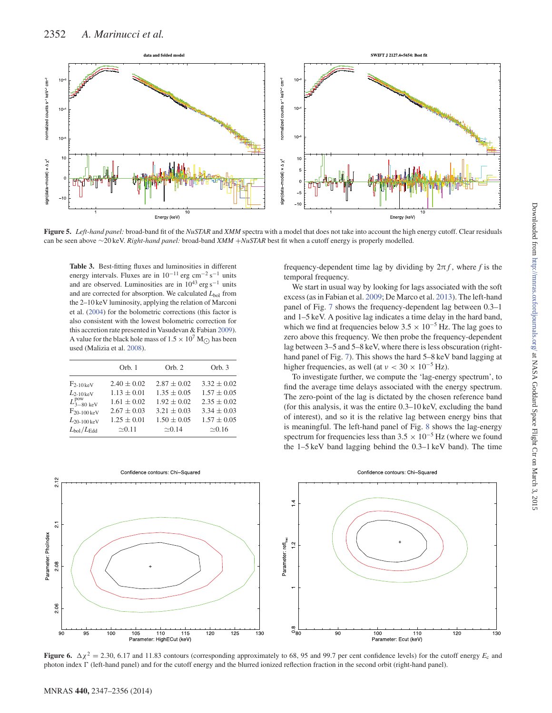

**Figure 5.** *Left-hand panel:* broad-band fit of the *NuSTAR* and *XMM* spectra with a model that does not take into account the high energy cutoff. Clear residuals can be seen above ∼20 keV. *Right-hand panel:* broad-band *XMM* +*NuSTAR* best fit when a cutoff energy is properly modelled.

**Table 3.** Best-fitting fluxes and luminosities in different energy intervals. Fluxes are in  $10^{-11}$  erg cm<sup>-2</sup> s<sup>-1</sup> units and are observed. Luminosities are in  $10^{43}$  erg s<sup>-1</sup> units and are corrected for absorption. We calculated  $L_{bol}$  from the 2–10 keV luminosity, applying the relation of Marconi et al. (2004) for the bolometric corrections (this factor is also consistent with the lowest bolometric correction for this accretion rate presented in Vasudevan & Fabian 2009). A value for the black hole mass of  $1.5 \times 10^7$  M<sub> $\odot$ </sub> has been used (Malizia et al. 2008).

|                                | Orb. 1          | Orb. 2          | Orb. 3          |
|--------------------------------|-----------------|-----------------|-----------------|
| $F_{2-10\,\text{keV}}$         | $2.40 \pm 0.02$ | $2.87 \pm 0.02$ | $3.32 \pm 0.02$ |
| $L_{2-10\,\text{keV}}$         | $1.13 \pm 0.01$ | $1.35 \pm 0.05$ | $1.57 \pm 0.05$ |
| $L_{3-80~{\rm keV}}^{\rm pow}$ | $1.61 \pm 0.02$ | $1.92 \pm 0.02$ | $2.35 \pm 0.02$ |
| $F_{20-100\,\text{keV}}$       | $2.67 \pm 0.03$ | $3.21 \pm 0.03$ | $3.34 \pm 0.03$ |
| $L_{20-100\,\mathrm{keV}}$     | $1.25 \pm 0.01$ | $1.50 \pm 0.05$ | $1.57 \pm 0.05$ |
| $L_{\rm bol}/L_{\rm Edd}$      | $\approx 0.11$  | $\approx 0.14$  | $\approx 0.16$  |

frequency-dependent time lag by dividing by  $2\pi f$ , where *f* is the temporal frequency.

We start in usual way by looking for lags associated with the soft excess (as in Fabian et al. 2009; De Marco et al. 2013). The left-hand panel of Fig. 7 shows the frequency-dependent lag between 0.3–1 and 1–5 keV. A positive lag indicates a time delay in the hard band, which we find at frequencies below  $3.5 \times 10^{-5}$  Hz. The lag goes to zero above this frequency. We then probe the frequency-dependent lag between 3–5 and 5–8 keV, where there is less obscuration (righthand panel of Fig. 7). This shows the hard  $5-8 \text{ keV}$  band lagging at higher frequencies, as well (at  $v < 30 \times 10^{-5}$  Hz).

To investigate further, we compute the 'lag-energy spectrum', to find the average time delays associated with the energy spectrum. The zero-point of the lag is dictated by the chosen reference band (for this analysis, it was the entire 0.3–10 keV, excluding the band of interest), and so it is the relative lag between energy bins that is meaningful. The left-hand panel of Fig. 8 shows the lag-energy spectrum for frequencies less than  $3.5 \times 10^{-5}$  Hz (where we found the 1–5 keV band lagging behind the 0.3–1 keV band). The time



**Figure 6.**  $\Delta \chi^2 = 2.30, 6.17$  and 11.83 contours (corresponding approximately to 68, 95 and 99.7 per cent confidence levels) for the cutoff energy  $E_c$  and photon index  $\Gamma$  (left-hand panel) and for the cutoff energy and the blurred ionized reflection fraction in the second orbit (right-hand panel).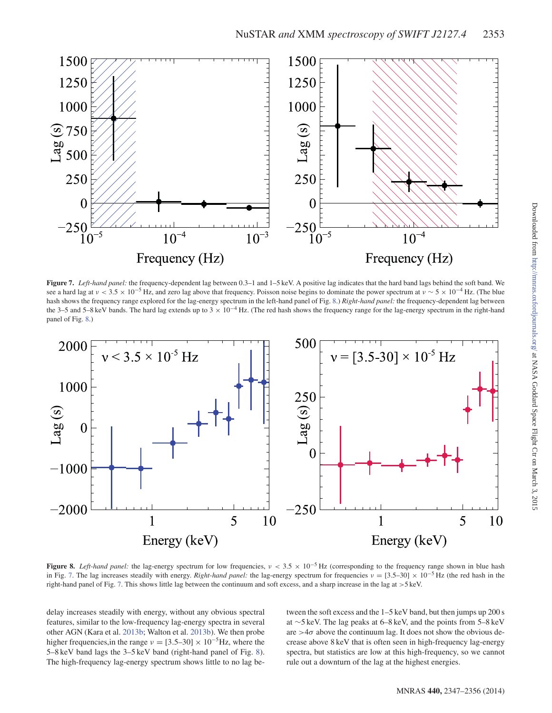

**Figure 7.** *Left-hand panel:* the frequency-dependent lag between 0.3–1 and 1–5 keV. A positive lag indicates that the hard band lags behind the soft band. We see a hard lag at  $v < 3.5 \times 10^{-5}$  Hz, and zero lag above that frequency. Poisson noise begins to dominate the power spectrum at  $v \sim 5 \times 10^{-4}$  Hz. (The blue hash shows the frequency range explored for the lag-energy spectrum in the left-hand panel of Fig. 8.) *Right-hand panel:* the frequency-dependent lag between the 3–5 and 5–8 keV bands. The hard lag extends up to 3  $\times$  10<sup>-4</sup> Hz. (The red hash shows the frequency range for the lag-energy spectrum in the right-hand panel of Fig. 8.)



**Figure 8.** *Left-hand panel:* the lag-energy spectrum for low frequencies,  $v < 3.5 \times 10^{-5}$  Hz (corresponding to the frequency range shown in blue hash in Fig. 7. The lag increases steadily with energy. *Right-hand panel:* the lag-energy spectrum for frequencies  $v = [3.5-30] \times 10^{-5}$  Hz (the red hash in the right-hand panel of Fig. 7. This shows little lag between the continuum and soft excess, and a sharp increase in the lag at >5 keV.

delay increases steadily with energy, without any obvious spectral features, similar to the low-frequency lag-energy spectra in several other AGN (Kara et al. 2013b; Walton et al. 2013b). We then probe higher frequencies,in the range  $v = [3.5-30] \times 10^{-5}$  Hz, where the 5–8 keV band lags the 3–5 keV band (right-hand panel of Fig. 8). The high-frequency lag-energy spectrum shows little to no lag between the soft excess and the 1–5 keV band, but then jumps up 200 s at ∼5 keV. The lag peaks at 6–8 keV, and the points from 5–8 keV are  $>4\sigma$  above the continuum lag. It does not show the obvious decrease above 8 keV that is often seen in high-frequency lag-energy spectra, but statistics are low at this high-frequency, so we cannot rule out a downturn of the lag at the highest energies.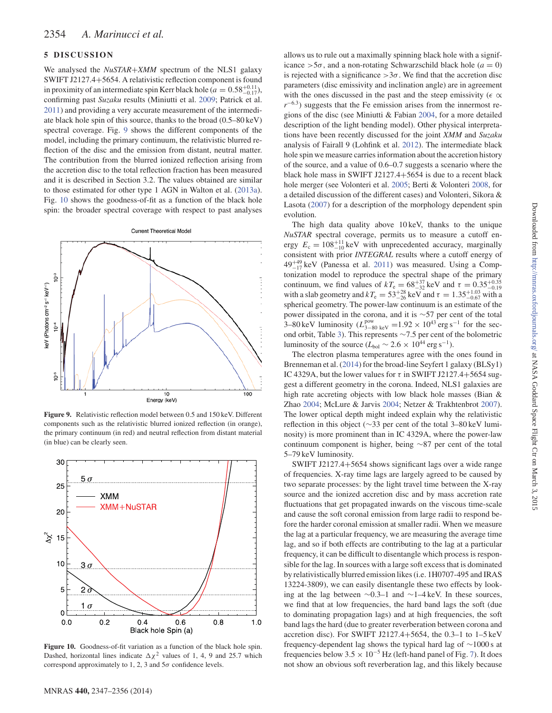## **5 DISCUSSION**

We analysed the *NuSTAR*+*XMM* spectrum of the NLS1 galaxy SWIFT J2127.4+5654. A relativistic reflection component is found in proximity of an intermediate spin Kerr black hole ( $a = 0.58^{+0.11}_{-0.17}$ ), confirming past *Suzaku* results (Miniutti et al. 2009; Patrick et al. 2011) and providing a very accurate measurement of the intermediate black hole spin of this source, thanks to the broad (0.5–80 keV) spectral coverage. Fig. 9 shows the different components of the model, including the primary continuum, the relativistic blurred reflection of the disc and the emission from distant, neutral matter. The contribution from the blurred ionized reflection arising from the accretion disc to the total reflection fraction has been measured and it is described in Section 3.2. The values obtained are similar to those estimated for other type 1 AGN in Walton et al. (2013a). Fig. 10 shows the goodness-of-fit as a function of the black hole spin: the broader spectral coverage with respect to past analyses



**Figure 9.** Relativistic reflection model between 0.5 and 150 keV. Different components such as the relativistic blurred ionized reflection (in orange), the primary continuum (in red) and neutral reflection from distant material (in blue) can be clearly seen.



**Figure 10.** Goodness-of-fit variation as a function of the black hole spin. Dashed, horizontal lines indicate  $\Delta \chi^2$  values of 1, 4, 9 and 25.7 which correspond approximately to 1, 2, 3 and  $5\sigma$  confidence levels.

5–79 keV luminosity. SWIFT J2127.4+5654 shows significant lags over a wide range

of frequencies. X-ray time lags are largely agreed to be caused by two separate processes: by the light travel time between the X-ray source and the ionized accretion disc and by mass accretion rate fluctuations that get propagated inwards on the viscous time-scale and cause the soft coronal emission from large radii to respond before the harder coronal emission at smaller radii. When we measure the lag at a particular frequency, we are measuring the average time lag, and so if both effects are contributing to the lag at a particular frequency, it can be difficult to disentangle which process is responsible for the lag. In sources with a large soft excess that is dominated by relativistically blurred emission likes (i.e. 1H0707-495 and IRAS 13224-3809), we can easily disentangle these two effects by looking at the lag between ∼0.3–1 and ∼1–4 keV. In these sources, we find that at low frequencies, the hard band lags the soft (due to dominating propagation lags) and at high frequencies, the soft band lags the hard (due to greater reverberation between corona and accretion disc). For SWIFT J2127.4+5654, the 0.3–1 to 1–5 keV frequency-dependent lag shows the typical hard lag of ∼1000 s at frequencies below 3.5  $\times$  10<sup>-5</sup> Hz (left-hand panel of Fig. 7). It does not show an obvious soft reverberation lag, and this likely because

allows us to rule out a maximally spinning black hole with a significance  $>5\sigma$ , and a non-rotating Schwarzschild black hole ( $a = 0$ ) is rejected with a significance  $>3\sigma$ . We find that the accretion disc parameters (disc emissivity and inclination angle) are in agreement with the ones discussed in the past and the steep emissivity ( $\epsilon \propto$ *r*<sup>−6.3</sup>) suggests that the Fe emission arises from the innermost regions of the disc (see Miniutti & Fabian 2004, for a more detailed description of the light bending model). Other physical interpretations have been recently discussed for the joint *XMM* and *Suzaku* analysis of Fairall 9 (Lohfink et al. 2012). The intermediate black hole spin we measure carries information about the accretion history of the source, and a value of 0.6–0.7 suggests a scenario where the black hole mass in SWIFT J2127.4+5654 is due to a recent black hole merger (see Volonteri et al. 2005; Berti & Volonteri 2008, for a detailed discussion of the different cases) and Volonteri, Sikora & Lasota (2007) for a description of the morphology dependent spin evolution.

The high data quality above 10 keV, thanks to the unique *NuSTAR* spectral coverage, permits us to measure a cutoff energy  $E_c = 108^{+11}_{-10}$  keV with unprecedented accuracy, marginally consistent with prior *INTEGRAL* results where a cutoff energy of  $49^{+49}_{-17}$  keV (Panessa et al. 2011) was measured. Using a Comptonization model to reproduce the spectral shape of the primary continuum, we find values of  $kT_e = 68^{+37}_{-32}$  keV and  $\tau = 0.35^{+0.35}_{-0.19}$  with a slab geometry and  $kT_e = 53^{+28}_{-26}$  keV and  $\tau = 1.35^{+1.03}_{-0.67}$  with a spherical geometry. The power-law continuum is an estimate of the power dissipated in the corona, and it is ∼57 per cent of the total 3–80 keV luminosity  $(L_{3-80 \text{ keV}}^{\text{pow}} = 1.92 \times 10^{43} \text{ erg s}^{-1}$  for the second orbit, Table 3). This represents ∼7.5 per cent of the bolometric luminosity of the source ( $L_{bol} \sim 2.6 \times 10^{44}$  erg s<sup>-1</sup>).

The electron plasma temperatures agree with the ones found in Brenneman et al. (2014) for the broad-line Seyfert 1 galaxy (BLSy1) IC 4329A, but the lower values for  $\tau$  in SWIFT J2127.4+5654 suggest a different geometry in the corona. Indeed, NLS1 galaxies are high rate accreting objects with low black hole masses (Bian & Zhao 2004; McLure & Jarvis 2004; Netzer & Trakhtenbrot 2007). The lower optical depth might indeed explain why the relativistic reflection in this object (∼33 per cent of the total 3–80 keV luminosity) is more prominent than in IC 4329A, where the power-law continuum component is higher, being ∼87 per cent of the total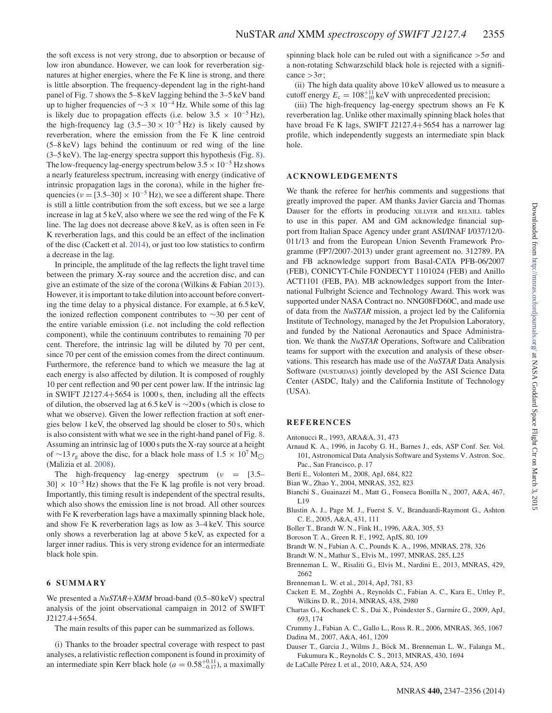the soft excess is not very strong, due to absorption or because of low iron abundance. However, we can look for reverberation signatures at higher energies, where the Fe K line is strong, and there is little absorption. The frequency-dependent lag in the right-hand panel of Fig. 7 shows the 5–8 keV lagging behind the 3–5 keV band up to higher frequencies of  $\sim$ 3 × 10<sup>-4</sup> Hz. While some of this lag is likely due to propagation effects (i.e. below  $3.5 \times 10^{-5}$  Hz), the high-frequency lag  $(3.5-30 \times 10^{-5} \text{ Hz})$  is likely caused by reverberation, where the emission from the Fe K line centroid (5–8 keV) lags behind the continuum or red wing of the line (3–5 keV). The lag-energy spectra support this hypothesis (Fig. 8). The low-frequency lag-energy spectrum below  $3.5 \times 10^{-5}$  Hz shows a nearly featureless spectrum, increasing with energy (indicative of intrinsic propagation lags in the corona), while in the higher frequencies ( $\nu = [3.5-30] \times 10^{-5}$  Hz), we see a different shape. There is still a little contribution from the soft excess, but we see a large increase in lag at 5 keV, also where we see the red wing of the Fe K line. The lag does not decrease above 8 keV, as is often seen in Fe K reverberation lags, and this could be an effect of the inclination of the disc (Cackett et al. 2014), or just too low statistics to confirm a decrease in the lag.

In principle, the amplitude of the lag reflects the light travel time between the primary X-ray source and the accretion disc, and can give an estimate of the size of the corona (Wilkins & Fabian 2013). However, it is important to take dilution into account before converting the time delay to a physical distance. For example, at 6.5 keV, the ionized reflection component contributes to ∼30 per cent of the entire variable emission (i.e. not including the cold reflection component), while the continuum contributes to remaining 70 per cent. Therefore, the intrinsic lag will be diluted by 70 per cent, since 70 per cent of the emission comes from the direct continuum. Furthermore, the reference band to which we measure the lag at each energy is also affected by dilution. It is composed of roughly 10 per cent reflection and 90 per cent power law. If the intrinsic lag in SWIFT J2127.4+5654 is 1000 s, then, including all the effects of dilution, the observed lag at 6.5 keV is ∼200 s (which is close to what we observe). Given the lower reflection fraction at soft energies below 1 keV, the observed lag should be closer to 50 s, which is also consistent with what we see in the right-hand panel of Fig. 8. Assuming an intrinsic lag of 1000 s puts the X-ray source at a height of ∼13  $r_g$  above the disc, for a black hole mass of 1.5 × 10<sup>7</sup> M<sub>○</sub> (Malizia et al. 2008).

The high-frequency lag-energy spectrum ( $v = [3.5 30 \times 10^{-5}$  Hz) shows that the Fe K lag profile is not very broad. Importantly, this timing result is independent of the spectral results, which also shows the emission line is not broad. All other sources with Fe K reverberation lags have a maximally spinning black hole, and show Fe K reverberation lags as low as 3–4 keV. This source only shows a reverberation lag at above 5 keV, as expected for a larger inner radius. This is very strong evidence for an intermediate black hole spin.

## **6 SUMMARY**

We presented a *NuSTAR*+*XMM* broad-band (0.5–80 keV) spectral analysis of the joint observational campaign in 2012 of SWIFT J2127.4+5654.

The main results of this paper can be summarized as follows.

(i) Thanks to the broader spectral coverage with respect to past analyses, a relativistic reflection component is found in proximity of an intermediate spin Kerr black hole ( $a = 0.58^{+0.11}_{-0.17}$ ), a maximally

spinning black hole can be ruled out with a significance  $>5\sigma$  and a non-rotating Schwarzschild black hole is rejected with a significance  $>3\sigma$ ;

(ii) The high data quality above 10 keV allowed us to measure a cutoff energy  $E_c = 108^{+11}_{-10}$  keV with unprecedented precision;

(iii) The high-frequency lag-energy spectrum shows an Fe K reverberation lag. Unlike other maximally spinning black holes that have broad Fe K lags, SWIFT J2127.4+5654 has a narrower lag profile, which independently suggests an intermediate spin black hole.

## **ACKNOWLEDGEMENTS**

We thank the referee for her/his comments and suggestions that greatly improved the paper. AM thanks Javier Garcia and Thomas Dauser for the efforts in producing XILLVER and RELXILL tables to use in this paper. AM and GM acknowledge financial support from Italian Space Agency under grant ASI/INAF I/037/12/0- 011/13 and from the European Union Seventh Framework Programme (FP7/2007-2013) under grant agreement no. 312789. PA and FB acknowledge support from Basal-CATA PFB-06/2007 (FEB), CONICYT-Chile FONDECYT 1101024 (FEB) and Anillo ACT1101 (FEB, PA). MB acknowledges support from the International Fulbright Science and Technology Award. This work was supported under NASA Contract no. NNG08FD60C, and made use of data from the *NuSTAR* mission, a project led by the California Institute of Technology, managed by the Jet Propulsion Laboratory, and funded by the National Aeronautics and Space Administration. We thank the *NuSTAR* Operations, Software and Calibration teams for support with the execution and analysis of these observations. This research has made use of the *NuSTAR* Data Analysis Software (NUSTARDAS) jointly developed by the ASI Science Data Center (ASDC, Italy) and the California Institute of Technology (USA).

#### **REFERENCES**

- Antonucci R., 1993, ARA&A, 31, 473
- Arnaud K. A., 1996, in Jacoby G. H., Barnes J., eds, ASP Conf. Ser. Vol. 101, Astronomical Data Analysis Software and Systems V. Astron. Soc. Pac., San Francisco, p. 17
- Berti E., Volonteri M., 2008, ApJ, 684, 822
- Bian W., Zhao Y., 2004, MNRAS, 352, 823
- Bianchi S., Guainazzi M., Matt G., Fonseca Bonilla N., 2007, A&A, 467, L19
- Blustin A. J., Page M. J., Fuerst S. V., Branduardi-Raymont G., Ashton C. E., 2005, A&A, 431, 111
- Boller T., Brandt W. N., Fink H., 1996, A&A, 305, 53
- Boroson T. A., Green R. F., 1992, ApJS, 80, 109
- Brandt W. N., Fabian A. C., Pounds K. A., 1996, MNRAS, 278, 326
- Brandt W. N., Mathur S., Elvis M., 1997, MNRAS, 285, L25
- Brenneman L. W., Risaliti G., Elvis M., Nardini E., 2013, MNRAS, 429, 2662
- Brenneman L. W. et al., 2014, ApJ, 781, 83
- Cackett E. M., Zoghbi A., Reynolds C., Fabian A. C., Kara E., Uttley P., Wilkins D. R., 2014, MNRAS, 438, 2980
- Chartas G., Kochanek C. S., Dai X., Poindexter S., Garmire G., 2009, ApJ, 693, 174
- Crummy J., Fabian A. C., Gallo L., Ross R. R., 2006, MNRAS, 365, 1067 Dadina M., 2007, A&A, 461, 1209
- Dauser T., Garcia J., Wilms J., Böck M., Brenneman L. W., Falanga M., Fukumura K., Reynolds C. S., 2013, MNRAS, 430, 1694
- de LaCalle Pérez I. et al., 2010, A&A, 524, A50